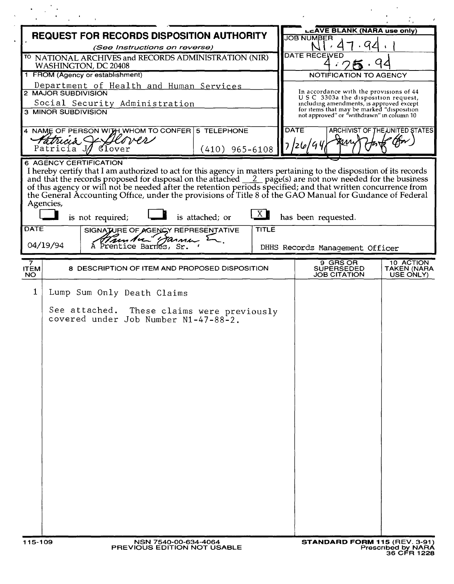|                                                          |                                                                                                                                                                                                                                 | REQUEST FOR RECORDS DISPOSITION AUTHORITY |                                                                                                                             |                          |
|----------------------------------------------------------|---------------------------------------------------------------------------------------------------------------------------------------------------------------------------------------------------------------------------------|-------------------------------------------|-----------------------------------------------------------------------------------------------------------------------------|--------------------------|
|                                                          | (See Instructions on reverse)                                                                                                                                                                                                   |                                           | <b>JOB NUMBER</b><br>. पर                                                                                                   |                          |
|                                                          | <sup>TO</sup> NATIONAL ARCHIVES and RECORDS ADMINISTRATION (NIR)                                                                                                                                                                |                                           | <b>DATE RECEIVED</b>                                                                                                        |                          |
| WASHINGTON, DC 20408<br>1 FROM (Agency or establishment) |                                                                                                                                                                                                                                 |                                           |                                                                                                                             |                          |
|                                                          |                                                                                                                                                                                                                                 |                                           | <b>NOTIFICATION TO AGENCY</b>                                                                                               |                          |
|                                                          | Department of Health and Human Services<br>2 MAJOR SUBDIVISION                                                                                                                                                                  |                                           | In accordance with the provisions of 44                                                                                     |                          |
|                                                          | Social Security Administration                                                                                                                                                                                                  |                                           | USC 3303a the disposition request,<br>including amendments, is approved except<br>for items that may be marked "disposition |                          |
|                                                          | <b>3 MINOR SUBDIVISION</b>                                                                                                                                                                                                      |                                           | not approved" or "withdrawn" in column 10                                                                                   |                          |
|                                                          | 4 NAME OF PERSON WITH WHOM TO CONFER 5 TELEPHONE                                                                                                                                                                                |                                           | <b>DATE</b><br>ARCHIVIST OF THE UNITED STATES                                                                               |                          |
| Patricia Jez                                             |                                                                                                                                                                                                                                 |                                           | 7/26/94                                                                                                                     |                          |
|                                                          | Patricia J/<br>$q$ lover                                                                                                                                                                                                        | $(410)$ 965-6108                          |                                                                                                                             |                          |
|                                                          | 6 AGENCY CERTIFICATION<br>I hereby certify that I am authorized to act for this agency in matters pertaining to the disposition of its records                                                                                  |                                           |                                                                                                                             |                          |
|                                                          | and that the records proposed for disposal on the attached $\_\_2$ page(s) are not now needed for the business<br>of this agency or will not be needed after the retention periods specified; and that written concurrence from |                                           |                                                                                                                             |                          |
|                                                          | the General Accounting Office, under the provisions of Title 8 of the GAO Manual for Guidance of Federal                                                                                                                        |                                           |                                                                                                                             |                          |
|                                                          | Agencies,                                                                                                                                                                                                                       | <u>X</u>                                  |                                                                                                                             |                          |
|                                                          | is not required;                                                                                                                                                                                                                | is attached; or                           | has been requested.                                                                                                         |                          |
| <b>DATE</b>                                              | SIGNATURE OF AGENCY REPRESENTATIVE                                                                                                                                                                                              | <b>TITLE</b>                              |                                                                                                                             |                          |
|                                                          | Ammlice Barnes, Sr.<br>04/19/94                                                                                                                                                                                                 |                                           | DHHS Records Management Officer                                                                                             |                          |
| 7                                                        |                                                                                                                                                                                                                                 |                                           | $\overline{9}$ GRS OR                                                                                                       | 10 ACTION                |
| <b>ITEM</b><br><b>NO</b>                                 | 8 DESCRIPTION OF ITEM AND PROPOSED DISPOSITION                                                                                                                                                                                  |                                           | SUPERSEDED<br>JOB CITATION                                                                                                  | TAKEN (NARA<br>USE ONLY) |
|                                                          |                                                                                                                                                                                                                                 |                                           |                                                                                                                             |                          |
| $\mathbf{1}$                                             | Lump Sum Only Death Claims                                                                                                                                                                                                      |                                           |                                                                                                                             |                          |
|                                                          | See attached. These claims were previously                                                                                                                                                                                      |                                           |                                                                                                                             |                          |
|                                                          | covered under Job Number N1-47-88-2.                                                                                                                                                                                            |                                           |                                                                                                                             |                          |
|                                                          |                                                                                                                                                                                                                                 |                                           |                                                                                                                             |                          |
|                                                          |                                                                                                                                                                                                                                 |                                           |                                                                                                                             |                          |
|                                                          |                                                                                                                                                                                                                                 |                                           |                                                                                                                             |                          |
|                                                          |                                                                                                                                                                                                                                 |                                           |                                                                                                                             |                          |
|                                                          |                                                                                                                                                                                                                                 |                                           |                                                                                                                             |                          |
|                                                          |                                                                                                                                                                                                                                 |                                           |                                                                                                                             |                          |
|                                                          |                                                                                                                                                                                                                                 |                                           |                                                                                                                             |                          |
|                                                          |                                                                                                                                                                                                                                 |                                           |                                                                                                                             |                          |
|                                                          |                                                                                                                                                                                                                                 |                                           |                                                                                                                             |                          |
|                                                          |                                                                                                                                                                                                                                 |                                           |                                                                                                                             |                          |
|                                                          |                                                                                                                                                                                                                                 |                                           |                                                                                                                             |                          |
|                                                          |                                                                                                                                                                                                                                 |                                           |                                                                                                                             |                          |
|                                                          |                                                                                                                                                                                                                                 |                                           |                                                                                                                             |                          |
|                                                          |                                                                                                                                                                                                                                 |                                           |                                                                                                                             |                          |
|                                                          |                                                                                                                                                                                                                                 |                                           |                                                                                                                             |                          |
|                                                          |                                                                                                                                                                                                                                 |                                           |                                                                                                                             |                          |
|                                                          |                                                                                                                                                                                                                                 |                                           |                                                                                                                             |                          |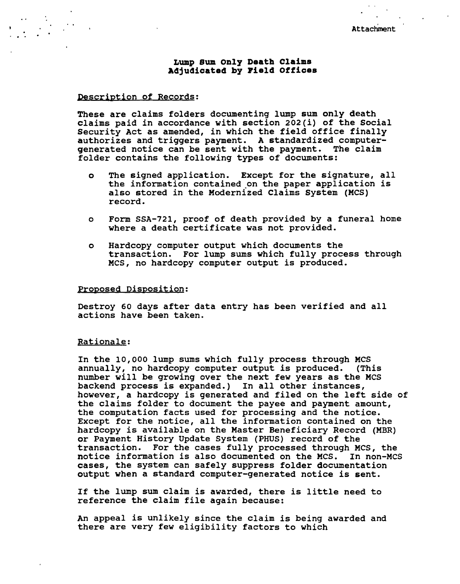Attachment

# **Lump Sum only Death Claim. Adjudicated by Pield Office.**

## Description of Records:

These are claims folders documenting lump sum only death claims paid in accordance with section 202(i) of the Social Security Act as amended, in which the field office finally authorizes and triggers payment. A standardized computergenerated notice can be sent with the payment. The claim folder contains the following types of documents:

- o The signed application. Except for the signature, all the information contained on the paper application is also stored in the Modernized Claims System (MCS) record.
- o Form SSA-721, proof of death provided by a funeral home where a death certificate was not provided.
- o Hardcopy computer output which documents the transaction. For lump sums which fully process through MCS, no hardcopy computer output is produced.

#### Proposed Disposition:

Destroy 60 days after data entry has been verified and all actions have been taken.

### Rationale:

In the 10,000 lump sums which fully process through MCS annually, no hardcopy computer output is produced. (This number will be growing over the next few years as the MCS backend process is expanded.) In all other instances, however, a hardcopy is generated and filed on the left side of the claims folder to document the payee and payment amount, the computation facts used for processing and the notice. Except for the notice, all the information contained on the hardcopy is available on the Master Beneficiary Record (MBR) or Payment History Update System (PHUS) record of the transaction. For the cases fully processed through MCS, the notice information is also documented on the MCS. In non-MCS cases, the system can safely suppress folder documentation output when a standard computer-generated notice is sent.

If the lump sum claim is awarded, there is little need to reference the claim file again because:

An appeal is unlikely since the claim is being awarded and there are very few eligibility factors to which